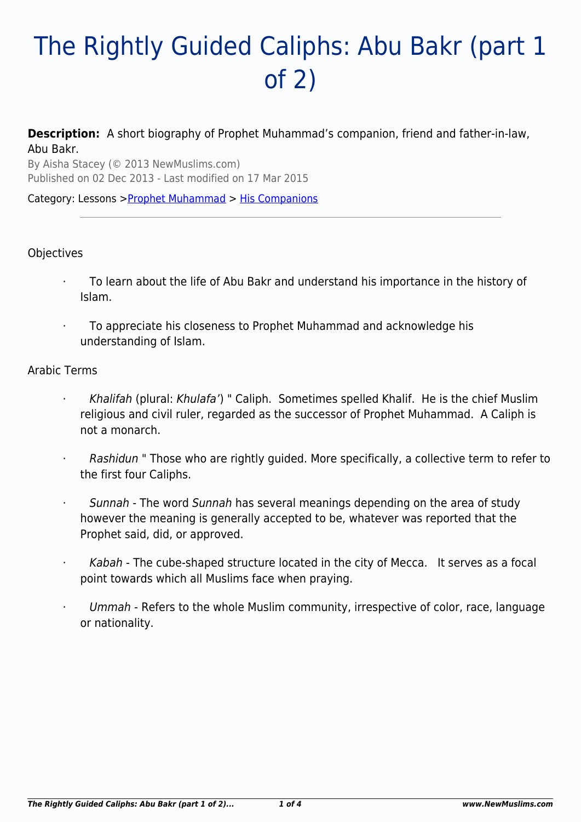# The Rightly Guided Caliphs: Abu Bakr (part 1 of 2)

**Description:** A short biography of Prophet Muhammad's companion, friend and father-in-law, Abu Bakr.

By Aisha Stacey (© 2013 NewMuslims.com) Published on 02 Dec 2013 - Last modified on 17 Mar 2015

Category: Lessons >[Prophet Muhammad](http://www.newmuslims.com/category/135/) > [His Companions](http://www.newmuslims.com/category/176/)

### **Objectives**

- · To learn about the life of Abu Bakr and understand his importance in the history of Islam.
- · To appreciate his closeness to Prophet Muhammad and acknowledge his understanding of Islam.

#### Arabic Terms

- Khalifah (plural: Khulafa') " Caliph. Sometimes spelled Khalif. He is the chief Muslim religious and civil ruler, regarded as the successor of Prophet Muhammad. A Caliph is not a monarch.
- Rashidun " Those who are rightly guided. More specifically, a collective term to refer to the first four Caliphs.
- Sunnah The word Sunnah has several meanings depending on the area of study however the meaning is generally accepted to be, whatever was reported that the Prophet said, did, or approved.
- Kabah The cube-shaped structure located in the city of Mecca. It serves as a focal point towards which all Muslims face when praying.
- Ummah Refers to the whole Muslim community, irrespective of color, race, language or nationality.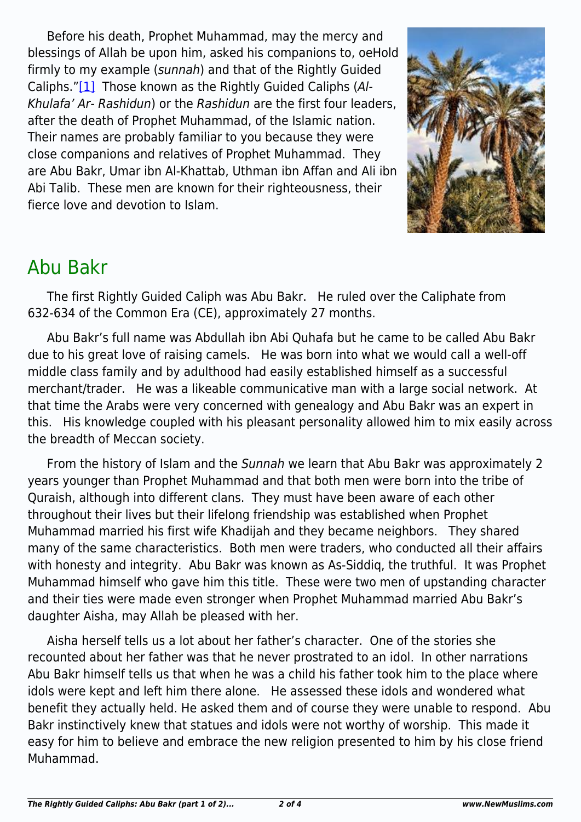<span id="page-1-0"></span>Before his death, Prophet Muhammad, may the mercy and blessings of Allah be upon him, asked his companions to, oeHold firmly to my example (sunnah) and that of the Rightly Guided Caliphs."[\[1\]](#page-2-0) Those known as the Rightly Guided Caliphs (Al-Khulafa' Ar- Rashidun) or the Rashidun are the first four leaders, after the death of Prophet Muhammad, of the Islamic nation. Their names are probably familiar to you because they were close companions and relatives of Prophet Muhammad. They are Abu Bakr, Umar ibn Al-Khattab, Uthman ibn Affan and Ali ibn Abi Talib. These men are known for their righteousness, their fierce love and devotion to Islam.



# Abu Bakr

The first Rightly Guided Caliph was Abu Bakr. He ruled over the Caliphate from 632-634 of the Common Era (CE), approximately 27 months.

Abu Bakr's full name was Abdullah ibn Abi Quhafa but he came to be called Abu Bakr due to his great love of raising camels. He was born into what we would call a well-off middle class family and by adulthood had easily established himself as a successful merchant/trader. He was a likeable communicative man with a large social network. At that time the Arabs were very concerned with genealogy and Abu Bakr was an expert in this. His knowledge coupled with his pleasant personality allowed him to mix easily across the breadth of Meccan society.

From the history of Islam and the Sunnah we learn that Abu Bakr was approximately 2 years younger than Prophet Muhammad and that both men were born into the tribe of Quraish, although into different clans. They must have been aware of each other throughout their lives but their lifelong friendship was established when Prophet Muhammad married his first wife Khadijah and they became neighbors. They shared many of the same characteristics. Both men were traders, who conducted all their affairs with honesty and integrity. Abu Bakr was known as As-Siddiq, the truthful. It was Prophet Muhammad himself who gave him this title. These were two men of upstanding character and their ties were made even stronger when Prophet Muhammad married Abu Bakr's daughter Aisha, may Allah be pleased with her.

Aisha herself tells us a lot about her father's character. One of the stories she recounted about her father was that he never prostrated to an idol. In other narrations Abu Bakr himself tells us that when he was a child his father took him to the place where idols were kept and left him there alone. He assessed these idols and wondered what benefit they actually held. He asked them and of course they were unable to respond. Abu Bakr instinctively knew that statues and idols were not worthy of worship. This made it easy for him to believe and embrace the new religion presented to him by his close friend Muhammad.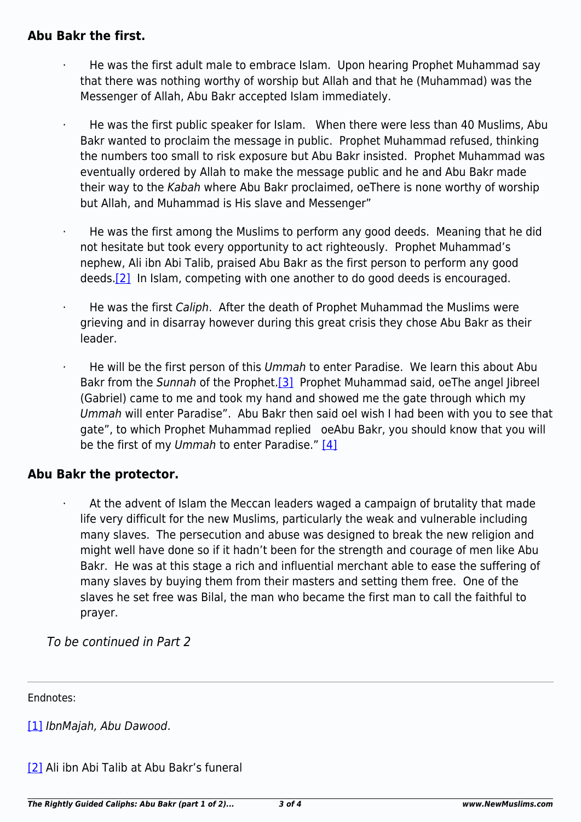### **Abu Bakr the first.**

- · He was the first adult male to embrace Islam. Upon hearing Prophet Muhammad say that there was nothing worthy of worship but Allah and that he (Muhammad) was the Messenger of Allah, Abu Bakr accepted Islam immediately.
- He was the first public speaker for Islam. When there were less than 40 Muslims, Abu Bakr wanted to proclaim the message in public. Prophet Muhammad refused, thinking the numbers too small to risk exposure but Abu Bakr insisted. Prophet Muhammad was eventually ordered by Allah to make the message public and he and Abu Bakr made their way to the Kabah where Abu Bakr proclaimed, oeThere is none worthy of worship but Allah, and Muhammad is His slave and Messenger"
- · He was the first among the Muslims to perform any good deeds. Meaning that he did not hesitate but took every opportunity to act righteously. Prophet Muhammad's nephew, Ali ibn Abi Talib, praised Abu Bakr as the first person to perform any good deeds[.\[2\]](#page-2-1) In Islam, competing with one another to do good deeds is encouraged.
- <span id="page-2-2"></span>He was the first Caliph. After the death of Prophet Muhammad the Muslims were grieving and in disarray however during this great crisis they chose Abu Bakr as their leader.
- <span id="page-2-3"></span>He will be the first person of this Ummah to enter Paradise. We learn this about Abu Bakr from the Sunnah of the Prophet.<sup>[3]</sup> Prophet Muhammad said, oeThe angel Jibreel (Gabriel) came to me and took my hand and showed me the gate through which my Ummah will enter Paradise". Abu Bakr then said oeI wish I had been with you to see that gate", to which Prophet Muhammad replied oeAbu Bakr, you should know that you will be the first of my Ummah to enter Paradise."  $[4]$

## <span id="page-2-4"></span>**Abu Bakr the protector.**

At the advent of Islam the Meccan leaders waged a campaign of brutality that made life very difficult for the new Muslims, particularly the weak and vulnerable including many slaves. The persecution and abuse was designed to break the new religion and might well have done so if it hadn't been for the strength and courage of men like Abu Bakr. He was at this stage a rich and influential merchant able to ease the suffering of many slaves by buying them from their masters and setting them free. One of the slaves he set free was Bilal, the man who became the first man to call the faithful to prayer.

To be continued in Part 2

<span id="page-2-0"></span>Endnotes:

[\[1\]](#page-1-0) IbnMajah, Abu Dawood.

<span id="page-2-1"></span>[\[2\]](#page-2-2) Ali ibn Abi Talib at Abu Bakr's funeral